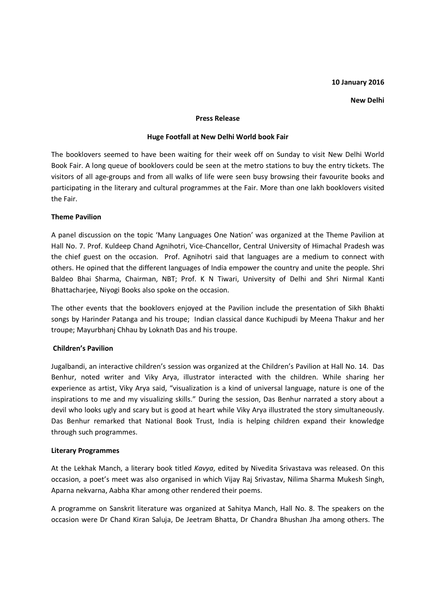### 10 January 2016

#### New Delhi

#### Press Release

## Huge Footfall at New Delhi World book Fair

The booklovers seemed to have been waiting for their week off on Sunday to visit New Delhi World Book Fair. A long queue of booklovers could be seen at the metro stations to buy the entry tickets. The visitors of all age-groups and from all walks of life were seen busy browsing their favourite books and participating in the literary and cultural programmes at the Fair. More than one lakh booklovers visited the Fair.

# Theme Pavilion

A panel discussion on the topic 'Many Languages One Nation' was organized at the Theme Pavilion at Hall No. 7. Prof. Kuldeep Chand Agnihotri, Vice-Chancellor, Central University of Himachal Pradesh was the chief guest on the occasion. Prof. Agnihotri said that languages are a medium to connect with others. He opined that the different languages of India empower the country and unite the people. Shri Baldeo Bhai Sharma, Chairman, NBT; Prof. K N Tiwari, University of Delhi and Shri Nirmal Kanti Bhattacharjee, Niyogi Books also spoke on the occasion.

The other events that the booklovers enjoyed at the Pavilion include the presentation of Sikh Bhakti songs by Harinder Patanga and his troupe; Indian classical dance Kuchipudi by Meena Thakur and her troupe; Mayurbhanj Chhau by Loknath Das and his troupe.

# Children's Pavilion

Jugalbandi, an interactive children's session was organized at the Children's Pavilion at Hall No. 14. Das Benhur, noted writer and Viky Arya, illustrator interacted with the children. While sharing her experience as artist, Viky Arya said, "visualization is a kind of universal language, nature is one of the inspirations to me and my visualizing skills." During the session, Das Benhur narrated a story about a devil who looks ugly and scary but is good at heart while Viky Arya illustrated the story simultaneously. Das Benhur remarked that National Book Trust, India is helping children expand their knowledge through such programmes.

### Literary Programmes

At the Lekhak Manch, a literary book titled Kavya, edited by Nivedita Srivastava was released. On this occasion, a poet's meet was also organised in which Vijay Raj Srivastav, Nilima Sharma Mukesh Singh, Aparna nekvarna, Aabha Khar among other rendered their poems.

A programme on Sanskrit literature was organized at Sahitya Manch, Hall No. 8. The speakers on the occasion were Dr Chand Kiran Saluja, De Jeetram Bhatta, Dr Chandra Bhushan Jha among others. The